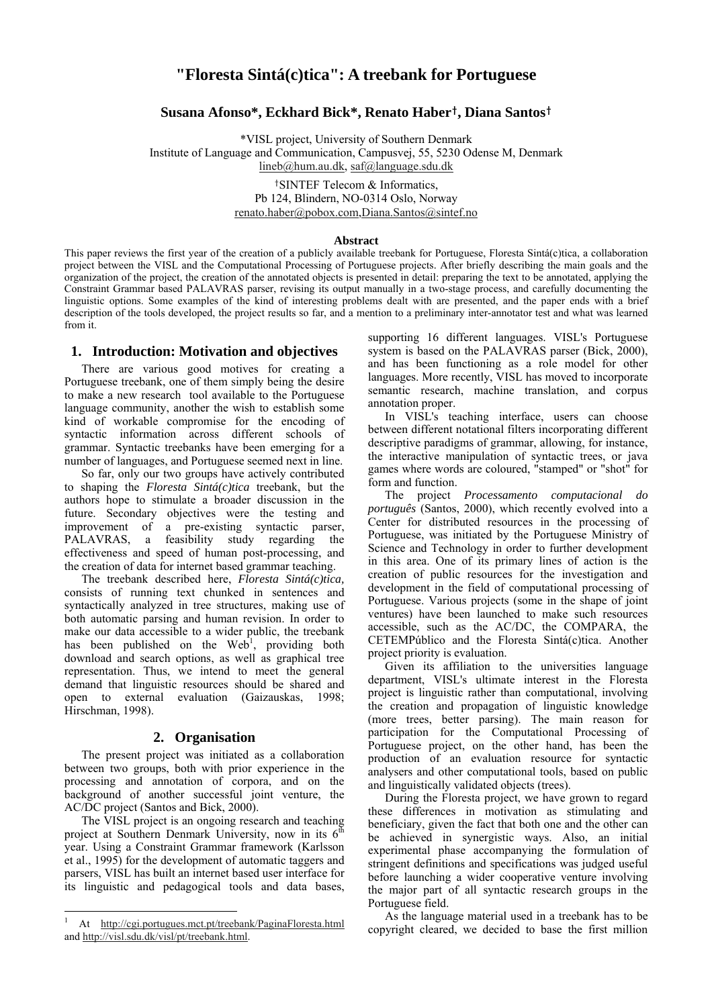# **"Floresta Sintá(c)tica": A treebank for Portuguese**

# **Susana Afonso\*, Eckhard Bick\*, Renato Haber**†**, Diana Santos**†

\*VISL project, University of Southern Denmark Institute of Language and Communication, Campusvej, 55, 5230 Odense M, Denmark lineb@hum.au.dk, saf@language.sdu.dk

> †SINTEF Telecom & Informatics, Pb 124, Blindern, NO-0314 Oslo, Norway renato.haber@pobox.com,Diana.Santos@sintef.no

#### **Abstract**

This paper reviews the first year of the creation of a publicly available treebank for Portuguese, Floresta Sintá(c)tica, a collaboration project between the VISL and the Computational Processing of Portuguese projects. After briefly describing the main goals and the organization of the project, the creation of the annotated objects is presented in detail: preparing the text to be annotated, applying the Constraint Grammar based PALAVRAS parser, revising its output manually in a two-stage process, and carefully documenting the linguistic options. Some examples of the kind of interesting problems dealt with are presented, and the paper ends with a brief description of the tools developed, the project results so far, and a mention to a preliminary inter-annotator test and what was learned from it.

#### **1. Introduction: Motivation and objectives**

There are various good motives for creating a Portuguese treebank, one of them simply being the desire to make a new research tool available to the Portuguese language community, another the wish to establish some kind of workable compromise for the encoding of syntactic information across different schools of grammar. Syntactic treebanks have been emerging for a number of languages, and Portuguese seemed next in line.

So far, only our two groups have actively contributed to shaping the *Floresta Sintá(c)tica* treebank, but the authors hope to stimulate a broader discussion in the future. Secondary objectives were the testing and improvement of a pre-existing syntactic parser, PALAVRAS, a feasibility study regarding the effectiveness and speed of human post-processing, and the creation of data for internet based grammar teaching.

The treebank described here, *Floresta Sintá(c)tica,*  consists of running text chunked in sentences and syntactically analyzed in tree structures, making use of both automatic parsing and human revision. In order to make our data accessible to a wider public, the treebank has been published on the  $Web<sup>1</sup>$ , providing both download and search options, as well as graphical tree representation. Thus, we intend to meet the general demand that linguistic resources should be shared and open to external evaluation (Gaizauskas, 1998; Hirschman, 1998).

## **2. Organisation**

The present project was initiated as a collaboration between two groups, both with prior experience in the processing and annotation of corpora, and on the background of another successful joint venture, the AC/DC project (Santos and Bick, 2000).

The VISL project is an ongoing research and teaching project at Southern Denmark University, now in its  $6<sup>th</sup>$ year. Using a Constraint Grammar framework (Karlsson et al., 1995) for the development of automatic taggers and parsers, VISL has built an internet based user interface for its linguistic and pedagogical tools and data bases,

 $\overline{a}$ 

supporting 16 different languages. VISL's Portuguese system is based on the PALAVRAS parser (Bick, 2000), and has been functioning as a role model for other languages. More recently, VISL has moved to incorporate semantic research, machine translation, and corpus annotation proper.

In VISL's teaching interface, users can choose between different notational filters incorporating different descriptive paradigms of grammar, allowing, for instance, the interactive manipulation of syntactic trees, or java games where words are coloured, "stamped" or "shot" for form and function.

The project *Processamento computacional do português* (Santos, 2000), which recently evolved into a Center for distributed resources in the processing of Portuguese, was initiated by the Portuguese Ministry of Science and Technology in order to further development in this area. One of its primary lines of action is the creation of public resources for the investigation and development in the field of computational processing of Portuguese. Various projects (some in the shape of joint ventures) have been launched to make such resources accessible, such as the AC/DC, the COMPARA, the CETEMPúblico and the Floresta Sintá(c)tica. Another project priority is evaluation.

Given its affiliation to the universities language department, VISL's ultimate interest in the Floresta project is linguistic rather than computational, involving the creation and propagation of linguistic knowledge (more trees, better parsing). The main reason for participation for the Computational Processing of Portuguese project, on the other hand, has been the production of an evaluation resource for syntactic analysers and other computational tools, based on public and linguistically validated objects (trees).

During the Floresta project, we have grown to regard these differences in motivation as stimulating and beneficiary, given the fact that both one and the other can be achieved in synergistic ways. Also, an initial experimental phase accompanying the formulation of stringent definitions and specifications was judged useful before launching a wider cooperative venture involving the major part of all syntactic research groups in the Portuguese field.

As the language material used in a treebank has to be copyright cleared, we decided to base the first million

<sup>1</sup> At http://cgi.portugues.mct.pt/treebank/PaginaFloresta.html and http://visl.sdu.dk/visl/pt/treebank.html.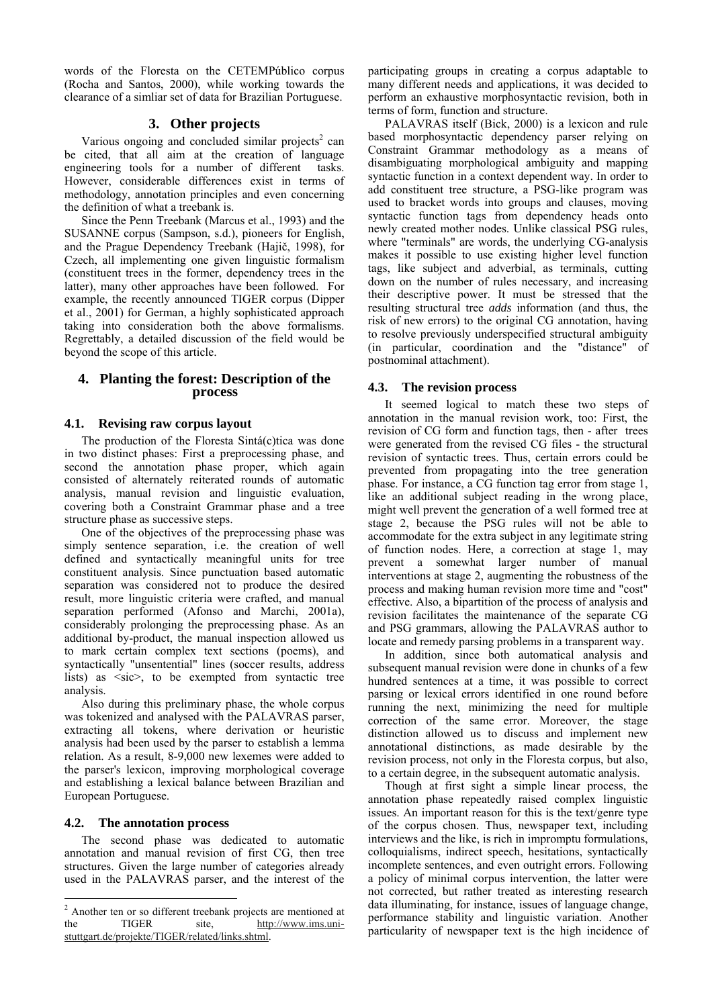words of the Floresta on the CETEMPúblico corpus (Rocha and Santos, 2000), while working towards the clearance of a simliar set of data for Brazilian Portuguese.

# **3. Other projects**

Various ongoing and concluded similar projects<sup>2</sup> can be cited, that all aim at the creation of language engineering tools for a number of different tasks. However, considerable differences exist in terms of methodology, annotation principles and even concerning the definition of what a treebank is.

Since the Penn Treebank (Marcus et al., 1993) and the SUSANNE corpus (Sampson, s.d.), pioneers for English, and the Prague Dependency Treebank (Hajič, 1998), for Czech, all implementing one given linguistic formalism (constituent trees in the former, dependency trees in the latter), many other approaches have been followed. For example, the recently announced TIGER corpus (Dipper et al., 2001) for German, a highly sophisticated approach taking into consideration both the above formalisms. Regrettably, a detailed discussion of the field would be beyond the scope of this article.

## **4. Planting the forest: Description of the process**

## **4.1. Revising raw corpus layout**

The production of the Floresta Sintá(c)tica was done in two distinct phases: First a preprocessing phase, and second the annotation phase proper, which again consisted of alternately reiterated rounds of automatic analysis, manual revision and linguistic evaluation, covering both a Constraint Grammar phase and a tree structure phase as successive steps.

One of the objectives of the preprocessing phase was simply sentence separation, i.e. the creation of well defined and syntactically meaningful units for tree constituent analysis. Since punctuation based automatic separation was considered not to produce the desired result, more linguistic criteria were crafted, and manual separation performed (Afonso and Marchi, 2001a), considerably prolonging the preprocessing phase. As an additional by-product, the manual inspection allowed us to mark certain complex text sections (poems), and syntactically "unsentential" lines (soccer results, address lists) as <sic>, to be exempted from syntactic tree analysis.

Also during this preliminary phase, the whole corpus was tokenized and analysed with the PALAVRAS parser, extracting all tokens, where derivation or heuristic analysis had been used by the parser to establish a lemma relation. As a result, 8-9,000 new lexemes were added to the parser's lexicon, improving morphological coverage and establishing a lexical balance between Brazilian and European Portuguese.

#### **4.2. The annotation process**

The second phase was dedicated to automatic annotation and manual revision of first CG, then tree structures. Given the large number of categories already used in the PALAVRAS parser, and the interest of the

participating groups in creating a corpus adaptable to many different needs and applications, it was decided to perform an exhaustive morphosyntactic revision, both in terms of form, function and structure.

PALAVRAS itself (Bick, 2000) is a lexicon and rule based morphosyntactic dependency parser relying on Constraint Grammar methodology as a means of disambiguating morphological ambiguity and mapping syntactic function in a context dependent way. In order to add constituent tree structure, a PSG-like program was used to bracket words into groups and clauses, moving syntactic function tags from dependency heads onto newly created mother nodes. Unlike classical PSG rules, where "terminals" are words, the underlying CG-analysis makes it possible to use existing higher level function tags, like subject and adverbial, as terminals, cutting down on the number of rules necessary, and increasing their descriptive power. It must be stressed that the resulting structural tree *adds* information (and thus, the risk of new errors) to the original CG annotation, having to resolve previously underspecified structural ambiguity (in particular, coordination and the "distance" of postnominal attachment).

#### **4.3. The revision process**

It seemed logical to match these two steps of annotation in the manual revision work, too: First, the revision of CG form and function tags, then - after trees were generated from the revised CG files - the structural revision of syntactic trees. Thus, certain errors could be prevented from propagating into the tree generation phase. For instance, a CG function tag error from stage 1, like an additional subject reading in the wrong place, might well prevent the generation of a well formed tree at stage 2, because the PSG rules will not be able to accommodate for the extra subject in any legitimate string of function nodes. Here, a correction at stage 1, may prevent a somewhat larger number of manual interventions at stage 2, augmenting the robustness of the process and making human revision more time and "cost" effective. Also, a bipartition of the process of analysis and revision facilitates the maintenance of the separate CG and PSG grammars, allowing the PALAVRAS author to locate and remedy parsing problems in a transparent way.

In addition, since both automatical analysis and subsequent manual revision were done in chunks of a few hundred sentences at a time, it was possible to correct parsing or lexical errors identified in one round before running the next, minimizing the need for multiple correction of the same error. Moreover, the stage distinction allowed us to discuss and implement new annotational distinctions, as made desirable by the revision process, not only in the Floresta corpus, but also, to a certain degree, in the subsequent automatic analysis.

Though at first sight a simple linear process, the annotation phase repeatedly raised complex linguistic issues. An important reason for this is the text/genre type of the corpus chosen. Thus, newspaper text, including interviews and the like, is rich in impromptu formulations, colloquialisms, indirect speech, hesitations, syntactically incomplete sentences, and even outright errors. Following a policy of minimal corpus intervention, the latter were not corrected, but rather treated as interesting research data illuminating, for instance, issues of language change, performance stability and linguistic variation. Another particularity of newspaper text is the high incidence of

 2 Another ten or so different treebank projects are mentioned at the TIGER site, http://www.ims.unistuttgart.de/projekte/TIGER/related/links.shtml.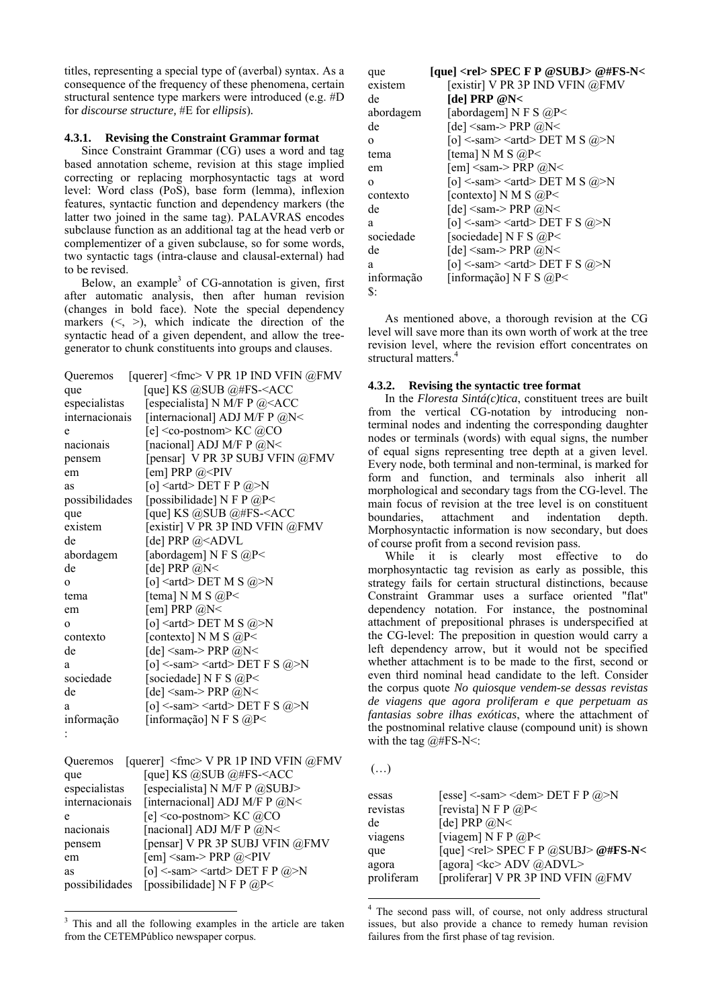titles, representing a special type of (averbal) syntax. As a consequence of the frequency of these phenomena, certain structural sentence type markers were introduced (e.g. #D) for *discourse structure*, #E for *ellipsis*).

# 4.3.1. Revising the Constraint Grammar format

Since Constraint Grammar (CG) uses a word and tag based annotation scheme, revision at this stage implied correcting or replacing morphosyntactic tags at word level: Word class (PoS), base form (lemma), inflexion features, syntactic function and dependency markers (the latter two joined in the same tag). PALAVRAS encodes subclause function as an additional tag at the head verb or complementizer of a given subclause, so for some words, two syntactic tags (intra-clause and clausal-external) had to be revised

Below, an example<sup>3</sup> of CG-annotation is given, first after automatic analysis, then after human revision (changes in bold face). Note the special dependency markers  $(<,>)$ , which indicate the direction of the syntactic head of a given dependent, and allow the treegenerator to chunk constituents into groups and clauses.

|                | Queremos [querer] <fmc> V PR 1P IND VFIN @FMV</fmc> |
|----------------|-----------------------------------------------------|
| que            | [que] KS @SUB @#FS- $\leq$ ACC                      |
| especialistas  | [especialista] N M/F P $@<$ ACC                     |
| internacionais | [internacional] ADJ M/F P $@N<$                     |
| e              | [e] <co-postnom> KC @CO</co-postnom>                |
| nacionais      | [nacional] ADJ M/F P $@N<$                          |
| pensem         | [pensar] V PR 3P SUBJ VFIN @FMV                     |
| em             | [em] PRP $@<$ PIV                                   |
| as             | [o] <artd> DET F P @&gt;N</artd>                    |
| possibilidades | [possibilidade] N F P $@P<$                         |
| que            | [que] KS @SUB @#FS- $ACC$                           |
| existem        | [existir] V PR 3P IND VFIN @FMV                     |
| de             | [de] PRP $@4ADVL$                                   |
| abordagem      | [abordagem] N F S $@P^<$                            |
| de             | [de] PRP $@N<$                                      |
| $\Omega$       | [o] <artd> DET M S @&gt;N</artd>                    |
| tema           | [tema] N M S $@P^<$                                 |
| em             | [em] PRP $@N<$                                      |
| $\Omega$       | [o] <artd> DET M S @&gt;N</artd>                    |
| contexto       | [contexto] N M S $@P^<$                             |
| de             | [de] $\leq$ sam-> PRP @N $\leq$                     |
| a              | [o] <-sam> <artd> DET F S @&gt;N</artd>             |
| sociedade      | [sociedade] N F S @P<                               |
| de             | [de] $\leq$ sam-> PRP @N $\leq$                     |
| a              | [o] <-sam> <artd> DET F S @&gt;N</artd>             |
| informação     | [informação] N F S $@P^<$                           |
|                |                                                     |

| Queremos       | [querer] $\leq$ fmc> V PR 1P IND VFIN @FMV        |
|----------------|---------------------------------------------------|
| que            | [que] KS @SUB @#FS- <acc< td=""></acc<>           |
| especialistas  | [especialista] N M/F P @SUBJ>                     |
| internacionais | [internacional] ADJ M/F P @N<                     |
| e              | [e] <co-postnom> KC <math>@CO</math></co-postnom> |
| nacionais      | [nacional] ADJ M/F P @N<                          |
| pensem         | [pensar] V PR 3P SUBJ VFIN @FMV                   |
| em             | [em] $\leq$ sam-> PRP @ $\leq$ PIV                |
| as             | [o] <-sam> <artd> DET F P @&gt;N</artd>           |
| possibilidades | [possibilidade] N F P $@P<$                       |

<sup>&</sup>lt;sup>3</sup> This and all the following examples in the article are taken from the CETEMPúblico newspaper corpus.

| que                | [que] <rel> SPEC F P @SUBJ&gt; @#FS-N&lt;</rel> |
|--------------------|-------------------------------------------------|
| existem            | [existir] V PR 3P IND VFIN @FMV                 |
| de                 | [del PRP @N<                                    |
| abordagem          | [abordagem] N F S $@P^<$                        |
| de                 | [de] $\leq$ sam-> PRP @N $\leq$                 |
| $\Omega$           | [o] <-sam> <artd> DET M S @&gt;N</artd>         |
| tema               | [tema] N M S $@P^<$                             |
| em                 | [em] $\leq$ sam-> PRP @N $\leq$                 |
| $\Omega$           | [o] <-sam> <artd> DET M S @&gt;N</artd>         |
| contexto           | [contexto] N M S $@P<$                          |
| de                 | [de] $\leq$ sam-> PRP @N $\leq$                 |
| a                  | [o] <-sam> <artd> DET F S @&gt;N</artd>         |
| sociedade          | [sociedade] N F S $@P^<$                        |
| de                 | [de] $\leq$ sam-> PRP @N $\leq$                 |
| a                  | [o] <-sam> <artd> DET F S @&gt;N</artd>         |
| informação         | [informação] N F S $@P^<$                       |
| $\mathbf{\hat{S}}$ |                                                 |

As mentioned above, a thorough revision at the CG level will save more than its own worth of work at the tree revision level, where the revision effort concentrates on structural matters.<sup>4</sup>

# 4.3.2. Revising the syntactic tree format

In the Floresta Sintá(c)tica, constituent trees are built from the vertical CG-notation by introducing nonterminal nodes and indenting the corresponding daughter nodes or terminals (words) with equal signs, the number of equal signs representing tree depth at a given level. Every node, both terminal and non-terminal, is marked for form and function, and terminals also inherit all morphological and secondary tags from the CG-level. The main focus of revision at the tree level is on constituent attachment and boundaries. indentation depth. Morphosyntactic information is now secondary, but does of course profit from a second revision pass.

While it is clearly most effective to do morphosyntactic tag revision as early as possible, this strategy fails for certain structural distinctions, because Constraint Grammar uses a surface oriented "flat" dependency notation. For instance, the postnominal attachment of prepositional phrases is underspecified at the CG-level: The preposition in question would carry a left dependency arrow, but it would not be specified whether attachment is to be made to the first, second or even third nominal head candidate to the left. Consider the corpus quote No quiosque vendem-se dessas revistas de viagens que agora proliferam e que perpetuam as fantasias sobre ilhas exóticas, where the attachment of the postnominal relative clause (compound unit) is shown with the tag  $@#FS-N$ 

 $(\ldots)$ 

| essas<br>revistas<br>de<br>viagens<br>que | [esse] <-sam> <dem> DET F P @&gt;N<br/>[revista] N F P <math>@P&lt;</math><br/>[de] PRP <math>@N&lt;</math><br/>[viagem] N F P <math>@P&lt;</math><br/>[que] <rel> SPEC F P @SUBJ&gt; @#FS-N&lt;</rel></dem> |
|-------------------------------------------|--------------------------------------------------------------------------------------------------------------------------------------------------------------------------------------------------------------|
| agora                                     | [agora] <kc> ADV @ADVL&gt;</kc>                                                                                                                                                                              |
| proliferam                                | [proliferar] V PR 3P IND VFIN @FMV                                                                                                                                                                           |

 $4$  The second pass will, of course, not only address structural issues, but also provide a chance to remedy human revision failures from the first phase of tag revision.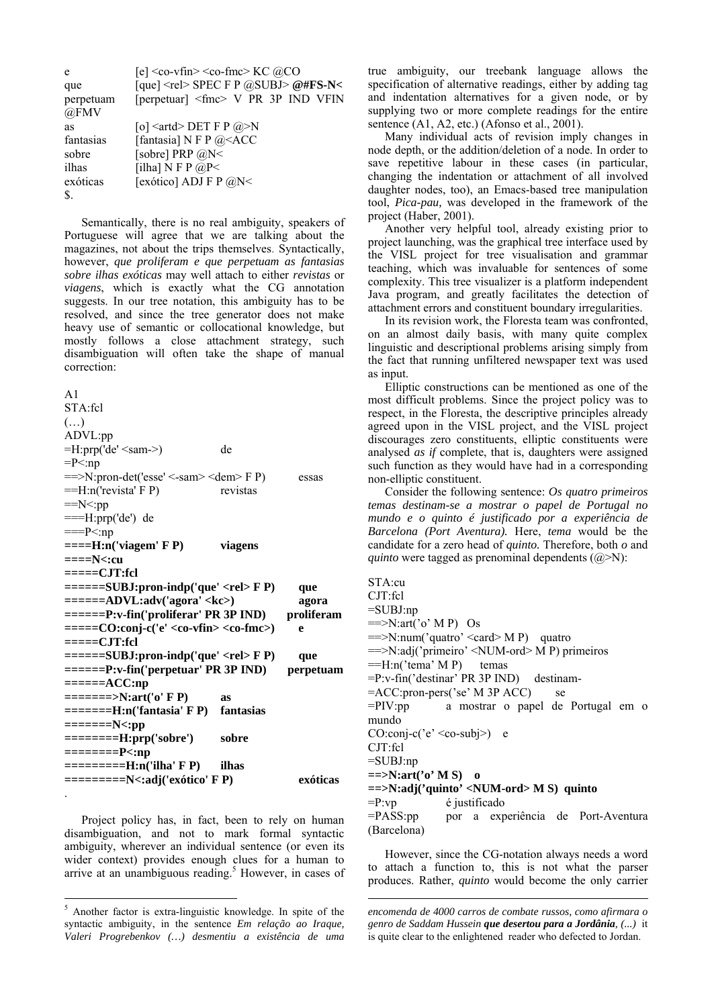| e         | [e] $\leq$ co-vfin $\geq$ co-fmc $\geq$ KC @CO                        |
|-----------|-----------------------------------------------------------------------|
| que       | [que] <rel> SPEC F P @SUBJ&gt; @#FS-N&lt;</rel>                       |
| perpetuam | [perpetuar] <fmc> V PR 3P IND VFIN</fmc>                              |
| @FMV      |                                                                       |
| as        | [o] $\langle \text{artd} \rangle$ DET F P $\langle \hat{a} \rangle$ N |
| fantasias | [fantasia] N F P @ <acc< td=""></acc<>                                |
| sobre     | [sobre] PRP @N<                                                       |
| ilhas     | [ilha] N F P $@P<$                                                    |
| exóticas  | [exótico] ADJ F P $@N<$                                               |
| S.        |                                                                       |

Semantically, there is no real ambiguity, speakers of Portuguese will agree that we are talking about the magazines, not about the trips themselves. Syntactically, however, que proliferam e que perpetuam as fantasias sobre ilhas exóticas may well attach to either revistas or viagens, which is exactly what the CG annotation suggests. In our tree notation, this ambiguity has to be resolved, and since the tree generator does not make heavy use of semantic or collocational knowledge, but mostly follows a close attachment strategy, such disambiguation will often take the shape of manual correction:

 $A<sub>1</sub>$  $STA-fcl$  $(\ldots)$ ADVL:pp  $=$ H:prp('de' <sam->) de  $=P<$ :np  $=$   $\ge$ N:pron-det('esse' <-sam > <dem > F P) essas  $=$ H:n('revista' F P) revistas  $==N<:pp$  $==H:prp('de')$  de  $==P<:np$  $===H:n('viagem' F P)$ viagens  $===N$   $<<$ :  $cu$  $===-CJT:rel$  $====SUBJ:pron-indp('que' F P)$ que  $====ADVL:adv('agora' < kc>)$ agora  $===P: v\text{-fin('proliferar' PR 3P IND)}$ proliferam  $===-CO:coni-c('e' < co-trin>)$  $\mathbf{e}$  $==-CIT:rel$ ======SUBJ:pron-indp('que' <rel> F P) que  $====PP: v\text{-fin('perpetuar' PR 3P IND)}$ perpetuam  $====ACC:np$  $= == == > N:art('o' F P)$ as  $=====H:n('fantasia' F P)$ fantasias  $=====N<:pp$  $======H:prp('sobre')$ sobre  $=$ =======P<:np  $=$ ======== $H:n('ilha' F P)$ ilhas  $=$  $=$  $=$  $=$  $=$  $N$  $=$  $:$  $adi('exótico' F P)$ exóticas

Project policy has, in fact, been to rely on human disambiguation, and not to mark formal syntactic ambiguity, wherever an individual sentence (or even its wider context) provides enough clues for a human to arrive at an unambiguous reading.<sup>5</sup> However, in cases of true ambiguity, our treebank language allows the specification of alternative readings, either by adding tag and indentation alternatives for a given node, or by supplying two or more complete readings for the entire sentence (A1, A2, etc.) (Afonso et al., 2001).

Many individual acts of revision imply changes in node depth, or the addition/deletion of a node. In order to save repetitive labour in these cases (in particular, changing the indentation or attachment of all involved daughter nodes, too), an Emacs-based tree manipulation tool, Pica-pau, was developed in the framework of the project (Haber, 2001).

Another very helpful tool, already existing prior to project launching, was the graphical tree interface used by the VISL project for tree visualisation and grammar teaching, which was invaluable for sentences of some complexity. This tree visualizer is a platform independent Java program, and greatly facilitates the detection of attachment errors and constituent boundary irregularities.

In its revision work, the Floresta team was confronted, on an almost daily basis, with many quite complex linguistic and descriptional problems arising simply from the fact that running unfiltered newspaper text was used as input.

Elliptic constructions can be mentioned as one of the most difficult problems. Since the project policy was to respect, in the Floresta, the descriptive principles already agreed upon in the VISL project, and the VISL project discourages zero constituents, elliptic constituents were analysed *as if* complete, that is, daughters were assigned such function as they would have had in a corresponding non-elliptic constituent.

Consider the following sentence: Os quatro primeiros temas destinam-se a mostrar o papel de Portugal no mundo e o quinto é justificado por a experiência de Barcelona (Port Aventura). Here, tema would be the candidate for a zero head of *quinto*. Therefore, both  $o$  and *auinto* were tagged as prenominal dependents  $(a\ge N)$ :

```
STA:cu
CJT:fcl
=SUBJ:np
=\supset N:art('o' M P) Os
=\gg N:num('quatro' < card > M P) quatro
==>N:adj('primeiro' <NUM-ord> M P) primeiros
=H:n('tema' M P)temas
=P:v-fin('destinar' PR 3P IND)
                                destinam-
=ACC:pron-pers('se' M 3P ACC)
                                    se
              a mostrar o papel de Portugal em o
=PIV:pp
mundo
CO:conj-c('e' < co-subj>) e
CJT:fcl
=SUBJ:np
==\trianglerightN:art('o' M S) o
=>N:adj('quinto' <i>NUM-ord</i> > M S) quinto
= P:vpé justificado
=PASS:pp
               por a experiência de Port-Aventura
(Barcelona)
```
However, since the CG-notation always needs a word to attach a function to, this is not what the parser produces. Rather, *quinto* would become the only carrier

<sup>&</sup>lt;sup>5</sup> Another factor is extra-linguistic knowledge. In spite of the syntactic ambiguity, in the sentence *Em relação ao Iraque*, Valeri Progrebenkov (...) desmentiu a existência de uma

encomenda de 4000 carros de combate russos, como afirmara o genro de Saddam Hussein que desertou para a Jordânia, (...) it is quite clear to the enlightened reader who defected to Jordan.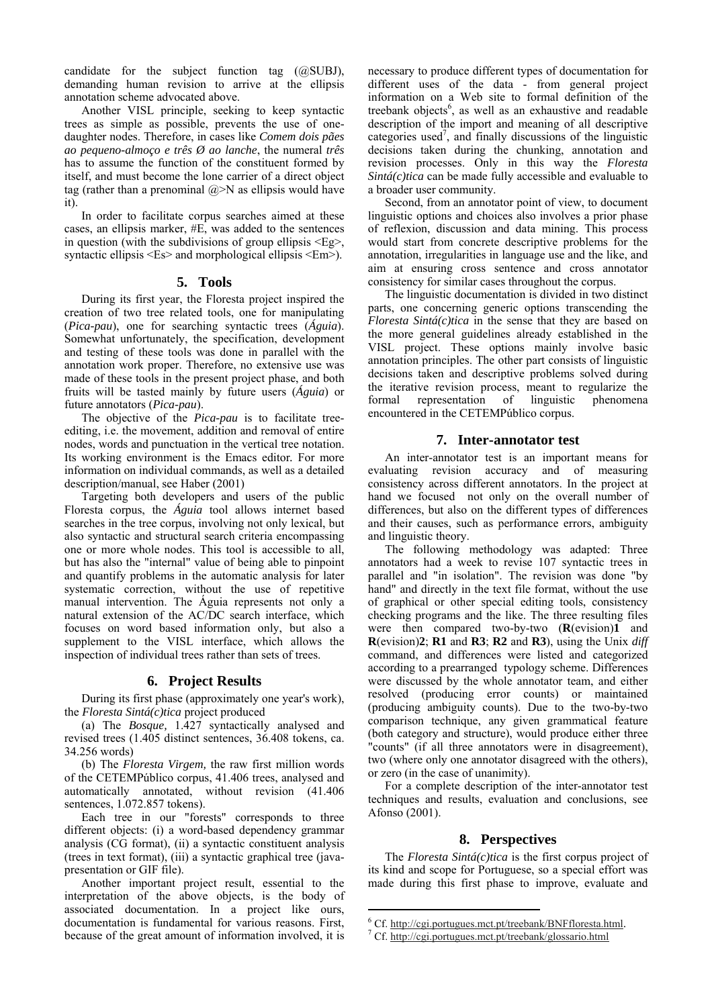candidate for the subject function tag (@SUBJ), demanding human revision to arrive at the ellipsis annotation scheme advocated above.

Another VISL principle, seeking to keep syntactic trees as simple as possible, prevents the use of onedaughter nodes. Therefore, in cases like *Comem dois pães ao pequeno-almoço e três Ø ao lanche*, the numeral *três*  has to assume the function of the constituent formed by itself, and must become the lone carrier of a direct object tag (rather than a prenominal  $@>N$  as ellipsis would have it).

In order to facilitate corpus searches aimed at these cases, an ellipsis marker, #E, was added to the sentences in question (with the subdivisions of group ellipsis <Eg>, syntactic ellipsis <Es> and morphological ellipsis <Em>).

#### **5. Tools**

During its first year, the Floresta project inspired the creation of two tree related tools, one for manipulating (*Pica-pau*), one for searching syntactic trees (*Águia*). Somewhat unfortunately, the specification, development and testing of these tools was done in parallel with the annotation work proper. Therefore, no extensive use was made of these tools in the present project phase, and both fruits will be tasted mainly by future users (*Águia*) or future annotators (*Pica-pau*).

The objective of the *Pica-pau* is to facilitate treeediting, i.e. the movement, addition and removal of entire nodes, words and punctuation in the vertical tree notation. Its working environment is the Emacs editor*.* For more information on individual commands, as well as a detailed description/manual, see Haber (2001)

Targeting both developers and users of the public Floresta corpus, the *Águia* tool allows internet based searches in the tree corpus, involving not only lexical, but also syntactic and structural search criteria encompassing one or more whole nodes. This tool is accessible to all, but has also the "internal" value of being able to pinpoint and quantify problems in the automatic analysis for later systematic correction, without the use of repetitive manual intervention. The Águia represents not only a natural extension of the AC/DC search interface, which focuses on word based information only, but also a supplement to the VISL interface, which allows the inspection of individual trees rather than sets of trees.

#### **6. Project Results**

During its first phase (approximately one year's work), the *Floresta Sintá(c)tica* project produced

(a) The *Bosque,* 1.427 syntactically analysed and revised trees (1.405 distinct sentences, 36.408 tokens, ca. 34.256 words)

(b) The *Floresta Virgem,* the raw first million words of the CETEMPúblico corpus, 41.406 trees, analysed and automatically annotated, without revision (41.406 sentences, 1.072.857 tokens).

Each tree in our "forests" corresponds to three different objects: (i) a word-based dependency grammar analysis (CG format), (ii) a syntactic constituent analysis (trees in text format), (iii) a syntactic graphical tree (javapresentation or GIF file).

Another important project result, essential to the interpretation of the above objects, is the body of associated documentation. In a project like ours, documentation is fundamental for various reasons. First, because of the great amount of information involved, it is

necessary to produce different types of documentation for different uses of the data - from general project information on a Web site to formal definition of the treebank objects<sup>6</sup>, as well as an exhaustive and readable description of the import and meaning of all descriptive categories used<sup>7</sup>, and finally discussions of the linguistic decisions taken during the chunking, annotation and revision processes. Only in this way the *Floresta Sintá(c)tica* can be made fully accessible and evaluable to a broader user community.

Second, from an annotator point of view, to document linguistic options and choices also involves a prior phase of reflexion, discussion and data mining. This process would start from concrete descriptive problems for the annotation, irregularities in language use and the like, and aim at ensuring cross sentence and cross annotator consistency for similar cases throughout the corpus.

The linguistic documentation is divided in two distinct parts, one concerning generic options transcending the *Floresta Sintá(c)tica* in the sense that they are based on the more general guidelines already established in the VISL project. These options mainly involve basic annotation principles. The other part consists of linguistic decisions taken and descriptive problems solved during the iterative revision process, meant to regularize the formal representation of linguistic phenomena encountered in the CETEMPúblico corpus.

# **7. Inter-annotator test**

An inter-annotator test is an important means for evaluating revision accuracy and of measuring consistency across different annotators. In the project at hand we focused not only on the overall number of differences, but also on the different types of differences and their causes, such as performance errors, ambiguity and linguistic theory.

The following methodology was adapted: Three annotators had a week to revise 107 syntactic trees in parallel and "in isolation". The revision was done "by hand" and directly in the text file format, without the use of graphical or other special editing tools, consistency checking programs and the like. The three resulting files were then compared two-by-two (**R**(evision)**1** and **R**(evision)**2**; **R1** and **R3**; **R2** and **R3**), using the Unix *diff*  command, and differences were listed and categorized according to a prearranged typology scheme. Differences were discussed by the whole annotator team, and either resolved (producing error counts) or maintained (producing ambiguity counts). Due to the two-by-two comparison technique, any given grammatical feature (both category and structure), would produce either three "counts" (if all three annotators were in disagreement), two (where only one annotator disagreed with the others), or zero (in the case of unanimity).

For a complete description of the inter-annotator test techniques and results, evaluation and conclusions, see Afonso (2001).

#### **8. Perspectives**

The *Floresta Sintá(c)tica* is the first corpus project of its kind and scope for Portuguese, so a special effort was made during this first phase to improve, evaluate and

 $\overline{a}$ 

 $^6$  Cf. http://cgi.portugues.mct.pt/treebank/BNFfloresta.html.<br>7 Cf. http://ggi.portugues.mct.pt/treebank/glosserie.html

Cf. http://cgi.portugues.mct.pt/treebank/glossario.html